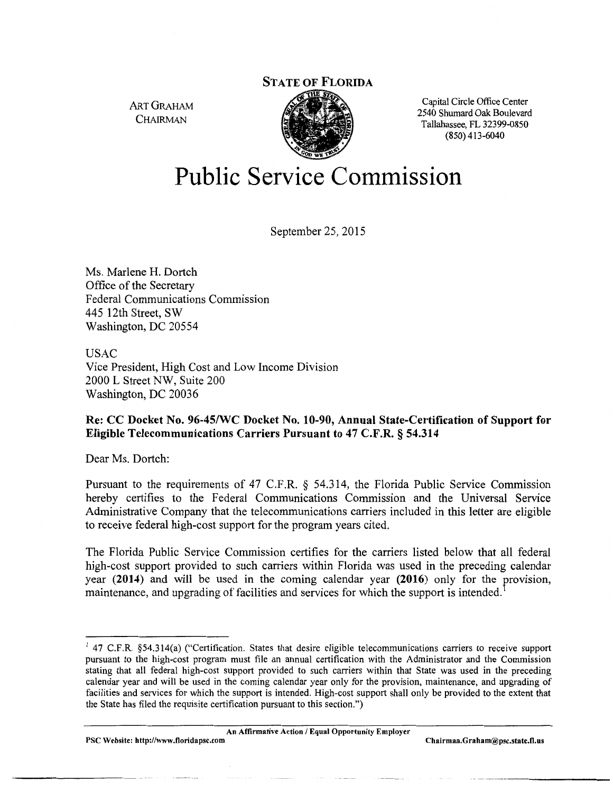ART GRAHAM **CHAIRMAN** 



Capital Circle Office Center 2540 Shumard Oak Boulevard Tallahassee, FL 32399-0850 (850) 413-6040

# **Public Service Commission**

September 25, 2015

Ms. Marlene H. Dortch Office of the Secretary Federal Communications Commission 445 12th Street, SW Washington, DC 20554

USAC Vice President, High Cost and Low Income Division 2000 L Street NW, Suite 200 Washington, DC 20036

# **Re: CC Docket** No. **96-45/WC Docket No. 10-90, Annual State-Certification of Support for Eligible Telecommunications Carriers Pursuant to 47 C.F.R. § 54.314**

Dear Ms. Dortch:

Pursuant to the requirements of 47 C.F.R. § 54.314, the Florida Public Service Commission hereby certifies to the Federal Communications Commission and the Universal Service Administrative Company that the telecommunications carriers included in this letter are eligible to receive federal high-cost support for the program years cited.

The Florida Public Service Commission certifies for the carriers listed below that all federal high-cost support provided to such carriers within Florida was used in the preceding calendar year **(2014)** and will be used in the coming calendar year **(2016)** only for the provision, maintenance, and upgrading of facilities and services for which the support is intended.

PSC Website: http://www.floridapsc.com Chairman.Graham@psc.state.fl.us

 $1$  47 C.F.R. §54.314(a) ("Certification. States that desire eligible telecommunications carriers to receive support pursuant to the high-cost program must file an annual certification with the Administrator and the Commission stating that all federal high-cost support provided to such carriers within that State was used in the preceding calendar year and will be used in the coming calendar year only for the provision, maintenance, and upgrading of facilities and services for which the support is intended. High-cost support shall only be provided to the extent that the State has filed the requisite certification pursuant to this section.")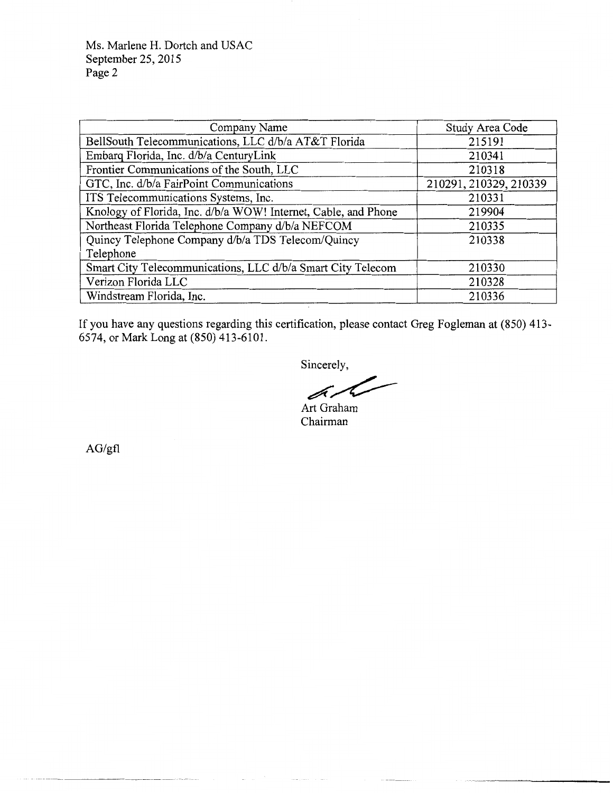Ms. Marlene H. Dortch and USAC September 25, 2015 Page 2

| Company Name                                                   | Study Area Code        |
|----------------------------------------------------------------|------------------------|
| BellSouth Telecommunications, LLC d/b/a AT&T Florida           | 215191                 |
| Embarq Florida, Inc. d/b/a CenturyLink                         | 210341                 |
| Frontier Communications of the South, LLC                      | 210318                 |
| GTC, Inc. d/b/a FairPoint Communications                       | 210291, 210329, 210339 |
| ITS Telecommunications Systems, Inc.                           | 210331                 |
| Knology of Florida, Inc. d/b/a WOW! Internet, Cable, and Phone | 219904                 |
| Northeast Florida Telephone Company d/b/a NEFCOM               | 210335                 |
| Quincy Telephone Company d/b/a TDS Telecom/Quincy              | 210338                 |
| Telephone                                                      |                        |
| Smart City Telecommunications, LLC d/b/a Smart City Telecom    | 210330                 |
| Verizon Florida LLC                                            | 210328                 |
| Windstream Florida, Inc.                                       | 210336                 |

If you have any questions regarding this certification, please contact Greg Fogleman at (850) 413- 6574, or Mark Long at (850) 413-6101.

Sincerely,

Sincerely,<br>Art Graham

Chairman

AG/gfl